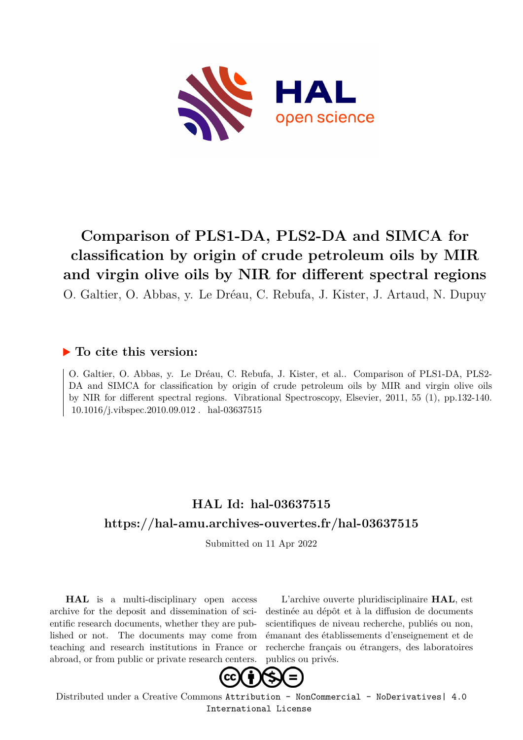

# **Comparison of PLS1-DA, PLS2-DA and SIMCA for classification by origin of crude petroleum oils by MIR and virgin olive oils by NIR for different spectral regions**

O. Galtier, O. Abbas, y. Le Dréau, C. Rebufa, J. Kister, J. Artaud, N. Dupuy

### **To cite this version:**

O. Galtier, O. Abbas, y. Le Dréau, C. Rebufa, J. Kister, et al.. Comparison of PLS1-DA, PLS2- DA and SIMCA for classification by origin of crude petroleum oils by MIR and virgin olive oils by NIR for different spectral regions. Vibrational Spectroscopy, Elsevier, 2011, 55 (1), pp.132-140.  $10.1016/j.vibspec.2010.09.012$ . hal-03637515

# **HAL Id: hal-03637515 <https://hal-amu.archives-ouvertes.fr/hal-03637515>**

Submitted on 11 Apr 2022

**HAL** is a multi-disciplinary open access archive for the deposit and dissemination of scientific research documents, whether they are published or not. The documents may come from teaching and research institutions in France or abroad, or from public or private research centers.

L'archive ouverte pluridisciplinaire **HAL**, est destinée au dépôt et à la diffusion de documents scientifiques de niveau recherche, publiés ou non, émanant des établissements d'enseignement et de recherche français ou étrangers, des laboratoires publics ou privés.



Distributed under a Creative Commons [Attribution - NonCommercial - NoDerivatives| 4.0](http://creativecommons.org/licenses/by-nc-nd/4.0/) [International License](http://creativecommons.org/licenses/by-nc-nd/4.0/)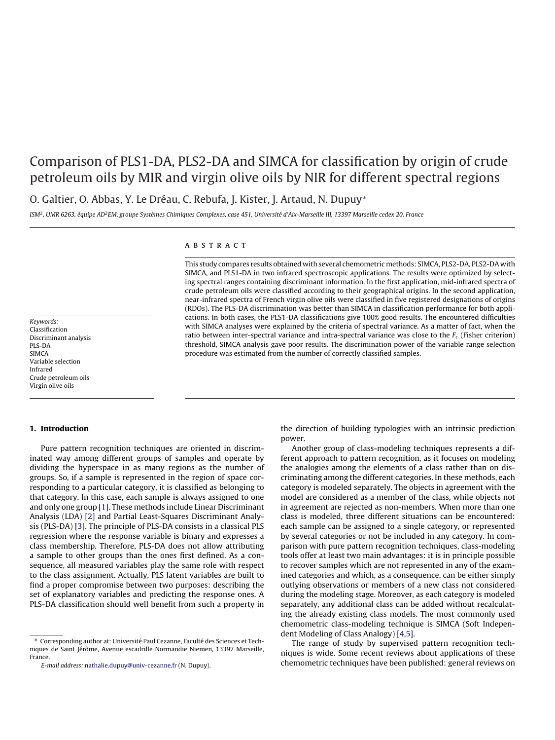## Comparison of PLS1-DA, PLS2-DA and SIMCA for classification by origin of crude petroleum oils by MIR and virgin olive oils by NIR for different spectral regions

O. Galtier, O. Abbas, Y. Le Dréau, C. Rebufa, J. Kister, J. Artaud, N. Dupuy<sup>∗</sup>

ISM2, UMR 6263, équipe AD2EM, groupe Systèmes Chimiques Complexes, case 451, Université d'Aix-Marseille III, 13397 Marseille cedex 20, France

Keywords: Classification Discriminant analysis PLS-DA SIMCA Variable selection Infrared Crude petroleum oils Virgin olive oils

#### **ABSTRACT**

This study compares results obtained with several chemometric methods: SIMCA, PLS2-DA, PLS2-DA with SIMCA, and PLS1-DA in two infrared spectroscopic applications. The results were optimized by selecting spectral ranges containing discriminant information. In the first application, mid-infrared spectra of crude petroleum oils were classified according to their geographical origins. In the second application, near-infrared spectra of French virgin olive oils were classified in five registered designations of origins (RDOs). The PLS-DA discrimination was better than SIMCA in classification performance for both applications. In both cases, the PLS1-DA classifications give 100% good results. The encountered difficulties with SIMCA analyses were explained by the criteria of spectral variance. As a matter of fact, when the ratio between inter-spectral variance and intra-spectral variance was close to the  $F_c$  (Fisher criterion) threshold, SIMCA analysis gave poor results. The discrimination power of the variable range selection procedure was estimated from the number of correctly classified samples.

#### **1. Introduction**

Pure pattern recognition techniques are oriented in discriminated way among different groups of samples and operate by dividing the hyperspace in as many regions as the number of groups. So, if a sample is represented in the region of space corresponding to a particular category, it is classified as belonging to that category. In this case, each sample is always assigned to one and only one group [1]. These methods include Linear Discriminant Analysis (LDA) [2] and Partial Least-Squares Discriminant Analysis (PLS-DA) [3]. The principle of PLS-DA consists in a classical PLS regression where the response variable is binary and expresses a class membership. Therefore, PLS-DA does not allow attributing a sample to other groups than the ones first defined. As a consequence, all measured variables play the same role with respect to the class assignment. Actually, PLS latent variables are built to find a proper compromise between two purposes: describing the set of explanatory variables and predicting the response ones. A PLS-DA classification should well benefit from such a property in

the direction of building typologies with an intrinsic prediction power.

Another group of class-modeling techniques represents a different approach to pattern recognition, as it focuses on modeling the analogies among the elements of a class rather than on discriminating among the different categories. In these methods, each category is modeled separately. The objects in agreement with the model are considered as a member of the class, while objects not in agreement are rejected as non-members. When more than one class is modeled, three different situations can be encountered: each sample can be assigned to a single category, or represented by several categories or not be included in any category. In comparison with pure pattern recognition techniques, class-modeling tools offer at least two main advantages: it is in principle possible to recover samples which are not represented in any of the examined categories and which, as a consequence, can be either simply outlying observations or members of a new class not considered during the modeling stage. Moreover, as each category is modeled separately, any additional class can be added without recalculating the already existing class models. The most commonly used chemometric class-modeling technique is SIMCA (Soft Independent Modeling of Class Analogy) [4,5].

The range of study by supervised pattern recognition techniques is wide. Some recent reviews about applications of these chemometric techniques have been published: general reviews on

<sup>∗</sup> Corresponding author at: Université Paul Cezanne, Faculté des Sciences et Techniques de Saint Jérôme, Avenue escadrille Normandie Niemen, 13397 Marseille, France.

E-mail address: [nathalie.dupuy@univ-cezanne.fr](mailto:nathalie.dupuy@univ-cezanne.fr) (N. Dupuy).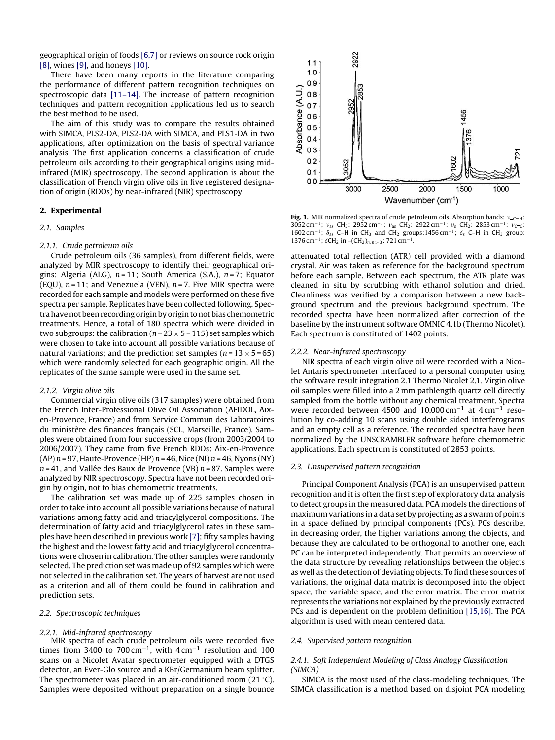geographical origin of foods [6,7] or reviews on source rock origin [8], wines [9], and honeys [10].

There have been many reports in the literature comparing the performance of different pattern recognition techniques on spectroscopic data [11-14]. The increase of pattern recognition techniques and pattern recognition applications led us to search the best method to be used.

The aim of this study was to compare the results obtained with SIMCA, PLS2-DA, PLS2-DA with SIMCA, and PLS1-DA in two applications, after optimization on the basis of spectral variance analysis. The first application concerns a classification of crude petroleum oils according to their geographical origins using midinfrared (MIR) spectroscopy. The second application is about the classification of French virgin olive oils in five registered designation of origin (RDOs) by near-infrared (NIR) spectroscopy.

#### **2. Experimental**

#### 2.1. Samples

#### 2.1.1. Crude petroleum oils

Crude petroleum oils (36 samples), from different fields, were analyzed by MIR spectroscopy to identify their geographical origins: Algeria (ALG),  $n = 11$ ; South America (S.A.),  $n = 7$ ; Equator (EQU),  $n = 11$ ; and Venezuela (VEN),  $n = 7$ . Five MIR spectra were recorded for each sample and models were performed on these five spectra per sample. Replicates have been collected following. Spectra have not been recording origin by origin to not bias chemometric treatments. Hence, a total of 180 spectra which were divided in two subgroups: the calibration ( $n = 23 \times 5 = 115$ ) set samples which were chosen to take into account all possible variations because of natural variations; and the prediction set samples ( $n = 13 \times 5 = 65$ ) which were randomly selected for each geographic origin. All the replicates of the same sample were used in the same set.

#### 2.1.2. Virgin olive oils

Commercial virgin olive oils (317 samples) were obtained from the French Inter-Professional Olive Oil Association (AFIDOL, Aixen-Provence, France) and from Service Commun des Laboratoires du ministère des finances français (SCL, Marseille, France). Samples were obtained from four successive crops (from 2003/2004 to 2006/2007). They came from five French RDOs: Aix-en-Provence  $(AP)$  n = 97, Haute-Provence (HP) n = 46, Nice (NI) n = 46, Nyons (NY)  $n = 41$ , and Vallée des Baux de Provence (VB)  $n = 87$ . Samples were analyzed by NIR spectroscopy. Spectra have not been recorded origin by origin, not to bias chemometric treatments.

The calibration set was made up of 225 samples chosen in order to take into account all possible variations because of natural variations among fatty acid and triacylglycerol compositions. The determination of fatty acid and triacylglycerol rates in these samples have been described in previous work [7]; fifty samples having the highest and the lowest fatty acid and triacylglycerol concentrations were chosen in calibration. The other samples were randomly selected. The prediction set was made up of 92 samples which were not selected in the calibration set. The years of harvest are not used as a criterion and all of them could be found in calibration and prediction sets.

#### 2.2. Spectroscopic techniques

#### 2.2.1. Mid-infrared spectroscopy

MIR spectra of each crude petroleum oils were recorded five times from 3400 to 700 cm<sup>-1</sup>, with 4 cm<sup>-1</sup> resolution and 100 scans on a Nicolet Avatar spectrometer equipped with a DTGS detector, an Ever-Glo source and a KBr/Germanium beam splitter. The spectrometer was placed in an air-conditioned room  $(21 \degree C)$ . Samples were deposited without preparation on a single bounce



**Fig. 1.** MIR normalized spectra of crude petroleum oils. Absorption bands:  $v_{=C-H}$ : 3052 cm<sup>-1</sup>;  $v_{as}$  CH<sub>3</sub>: 2952 cm<sup>-1</sup>;  $v_{as}$  CH<sub>2</sub>: 2922 cm<sup>-1</sup>;  $v_s$  CH<sub>2</sub>: 2853 cm<sup>-1</sup>;  $v_{c=c}$ : 1602 cm<sup>-1</sup>;  $\delta$ <sub>as</sub> C–H in CH<sub>3</sub> and CH<sub>2</sub> groups:1456 cm<sup>-1</sup>;  $\delta$ <sub>s</sub> C–H in CH<sub>3</sub> group: 1376 cm<sup>-1</sup>;  $\delta$ CH<sub>2</sub> in –(CH<sub>2</sub>)<sub>n, n > 3</sub>: 721 cm<sup>-1</sup>.

attenuated total reflection (ATR) cell provided with a diamond crystal. Air was taken as reference for the background spectrum before each sample. Between each spectrum, the ATR plate was cleaned in situ by scrubbing with ethanol solution and dried. Cleanliness was verified by a comparison between a new background spectrum and the previous background spectrum. The recorded spectra have been normalized after correction of the baseline by the instrument software OMNIC 4.1b (Thermo Nicolet). Each spectrum is constituted of 1402 points.

#### 2.2.2. Near-infrared spectroscopy

NIR spectra of each virgin olive oil were recorded with a Nicolet Antaris spectrometer interfaced to a personal computer using the software result integration 2.1 Thermo Nicolet 2.1. Virgin olive oil samples were filled into a 2 mm pathlength quartz cell directly sampled from the bottle without any chemical treatment. Spectra were recorded between 4500 and 10,000 cm−<sup>1</sup> at 4 cm−<sup>1</sup> resolution by co-adding 10 scans using double sided interferograms and an empty cell as a reference. The recorded spectra have been normalized by the UNSCRAMBLER software before chemometric applications. Each spectrum is constituted of 2853 points.

#### 2.3. Unsupervised pattern recognition

Principal Component Analysis (PCA) is an unsupervised pattern recognition and it is often the first step of exploratory data analysis to detect groups in the measured data. PCA models the directions of maximum variations in a data set by projecting as a swarm of points in a space defined by principal components (PCs). PCs describe, in decreasing order, the higher variations among the objects, and because they are calculated to be orthogonal to another one, each PC can be interpreted independently. That permits an overview of the data structure by revealing relationships between the objects as well as the detection of deviating objects. To find these sources of variations, the original data matrix is decomposed into the object space, the variable space, and the error matrix. The error matrix represents the variations not explained by the previously extracted PCs and is dependent on the problem definition [15,16]. The PCA algorithm is used with mean centered data.

#### 2.4. Supervised pattern recognition

#### 2.4.1. Soft Independent Modeling of Class Analogy Classification (SIMCA)

SIMCA is the most used of the class-modeling techniques. The SIMCA classification is a method based on disjoint PCA modeling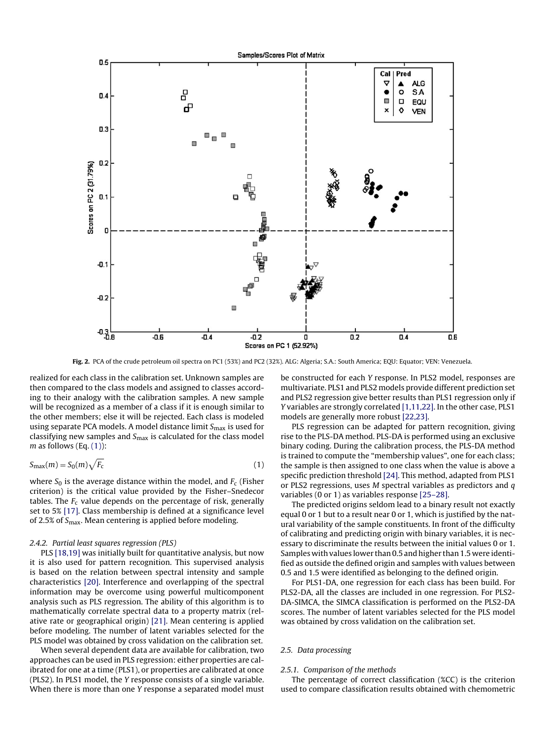

**Fig. 2.** PCA of the crude petroleum oil spectra on PC1 (53%) and PC2 (32%). ALG: Algeria; S.A.: South America; EQU: Equator; VEN: Venezuela.

realized for each class in the calibration set. Unknown samples are then compared to the class models and assigned to classes according to their analogy with the calibration samples. A new sample will be recognized as a member of a class if it is enough similar to the other members; else it will be rejected. Each class is modeled using separate PCA models. A model distance limit  $S_{\text{max}}$  is used for classifying new samples and  $S<sub>max</sub>$  is calculated for the class model  $m$  as follows (Eq.  $(1)$ ):

$$
S_{\text{max}}(m) = S_0(m)\sqrt{F_c} \tag{1}
$$

where  $S_0$  is the average distance within the model, and  $F_c$  (Fisher criterion) is the critical value provided by the Fisher–Snedecor tables. The  $F_c$  value depends on the percentage of risk, generally set to 5% [17]. Class membership is defined at a significance level of 2.5% of  $S_{\text{max}}$ . Mean centering is applied before modeling.

#### 2.4.2. Partial least squares regression (PLS)

PLS [18,19] was initially built for quantitative analysis, but now it is also used for pattern recognition. This supervised analysis is based on the relation between spectral intensity and sample characteristics [20]. Interference and overlapping of the spectral information may be overcome using powerful multicomponent analysis such as PLS regression. The ability of this algorithm is to mathematically correlate spectral data to a property matrix (relative rate or geographical origin) [21]. Mean centering is applied before modeling. The number of latent variables selected for the PLS model was obtained by cross validation on the calibration set.

When several dependent data are available for calibration, two approaches can be used in PLS regression: either properties are calibrated for one at a time (PLS1), or properties are calibrated at once (PLS2). In PLS1 model, the Y response consists of a single variable. When there is more than one Y response a separated model must be constructed for each Y response. In PLS2 model, responses are multivariate. PLS1 and PLS2 models provide different prediction set and PLS2 regression give better results than PLS1 regression only if Y variables are strongly correlated [1,11,22]. In the other case, PLS1 models are generally more robust [22,23].

PLS regression can be adapted for pattern recognition, giving rise to the PLS-DA method. PLS-DA is performed using an exclusive binary coding. During the calibration process, the PLS-DA method is trained to compute the "membership values", one for each class; the sample is then assigned to one class when the value is above a specific prediction threshold [24]. This method, adapted from PLS1 or PLS2 regressions, uses  $M$  spectral variables as predictors and  $q$ variables (0 or 1) as variables response [25–28].

The predicted origins seldom lead to a binary result not exactly equal 0 or 1 but to a result near 0 or 1, which is justified by the natural variability of the sample constituents. In front of the difficulty of calibrating and predicting origin with binary variables, it is necessary to discriminate the results between the initial values 0 or 1. Samples with values lower than 0.5 and higher than 1.5 were identified as outside the defined origin and samples with values between 0.5 and 1.5 were identified as belonging to the defined origin.

For PLS1-DA, one regression for each class has been build. For PLS2-DA, all the classes are included in one regression. For PLS2- DA-SIMCA, the SIMCA classification is performed on the PLS2-DA scores. The number of latent variables selected for the PLS model was obtained by cross validation on the calibration set.

#### 2.5. Data processing

#### 2.5.1. Comparison of the methods

The percentage of correct classification (%CC) is the criterion used to compare classification results obtained with chemometric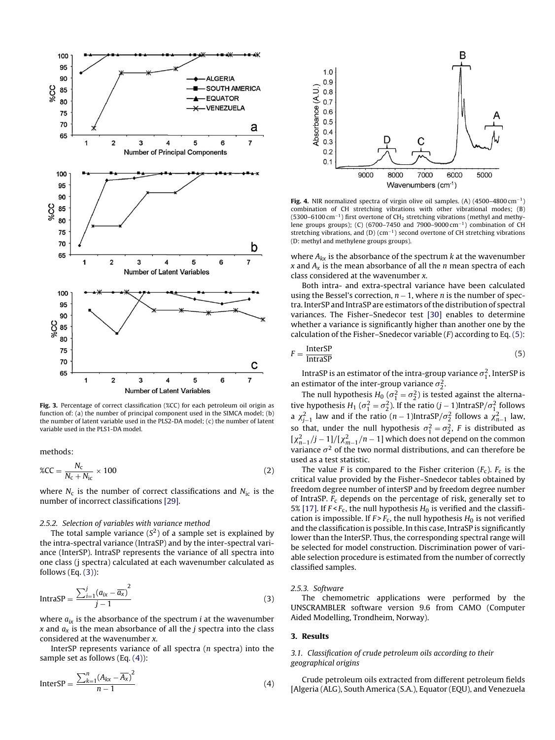

**Fig. 3.** Percentage of correct classification (%CC) for each petroleum oil origin as function of: (a) the number of principal component used in the SIMCA model; (b) the number of latent variable used in the PLS2-DA model; (c) the number of latent variable used in the PLS1-DA model.

methods:

$$
\%CC = \frac{N_c}{N_c + N_{ic}} \times 100\tag{2}
$$

where  $N_c$  is the number of correct classifications and  $N_{\text{ic}}$  is the number of incorrect classifications [29].

#### 2.5.2. Selection of variables with variance method

The total sample variance  $(S^2)$  of a sample set is explained by the intra-spectral variance (IntraSP) and by the inter-spectral variance (InterSP). IntraSP represents the variance of all spectra into one class (j spectra) calculated at each wavenumber calculated as follows  $(Eq. (3))$ :

$$
IntraSP = \frac{\sum_{i=1}^{j} (a_{ix} - \overline{a_x})^2}{j-1}
$$
 (3)

where  $a_{ix}$  is the absorbance of the spectrum *i* at the wavenumber x and  $a_x$  is the mean absorbance of all the *j* spectra into the class considered at the wavenumber x.

InterSP represents variance of all spectra (n spectra) into the sample set as follows (Eq. (4)):

$$
InterestSP = \frac{\sum_{k=1}^{n} (A_{kx} - \overline{A_x})^2}{n-1}
$$
 (4)



**Fig. 4.** NIR normalized spectra of virgin olive oil samples. (A) (4500–4800 cm−1) combination of CH stretching vibrations with other vibrational modes; (B) (5300–6100 cm−1) first overtone of CH2 stretching vibrations (methyl and methylene groups groups); (C) (6700–7450 and 7900–9000 cm−1) combination of CH stretching vibrations, and (D) (cm<sup>-1</sup>) second overtone of CH stretching vibrations (D: methyl and methylene groups groups).

where  $A_{kx}$  is the absorbance of the spectrum k at the wavenumber x and  $A_x$  is the mean absorbance of all the *n* mean spectra of each class considered at the wavenumber x.

Both intra- and extra-spectral variance have been calculated using the Bessel's correction,  $n - 1$ , where *n* is the number of spectra. InterSP and IntraSP are estimators of the distribution of spectral variances. The Fisher–Snedecor test [30] enables to determine whether a variance is significantly higher than another one by the calculation of the Fisher–Snedecor variable  $(F)$  according to Eq.  $(5)$ :

$$
F = \frac{\text{InterSP}}{\text{IntraSP}}\tag{5}
$$

IntraSP is an estimator of the intra-group variance  $\sigma_1^2$ , InterSP is an estimator of the inter-group variance  $\sigma_2^2$ .

The null hypothesis  $H_0$  ( $\sigma_1^2 = \sigma_2^2$ ) is tested against the alternative hypothesis  $H_1$  ( $\sigma_1^2 = \sigma_2^2$ ). If the ratio (j – 1)IntraSP/ $\sigma_1^2$  follows a  $\chi^2_{j-1}$  law and if the ratio (n – 1)IntraSP/ $\sigma^2_{\geq j}$  follows a  $\chi^2_{n-1}$  law, so that, under the null hypothesis  $\sigma_1^2 = \sigma_2^2$ , *F* is distributed as  $[\chi_{n-1}^2/j - 1]/[\chi_{m-1}^2/n - 1]$  which does not depend on the common variance  $\sigma^2$  of the two normal distributions, and can therefore be used as a test statistic.

The value F is compared to the Fisher criterion  $(F_c)$ .  $F_c$  is the critical value provided by the Fisher–Snedecor tables obtained by freedom degree number of interSP and by freedom degree number of IntraSP.  $F_c$  depends on the percentage of risk, generally set to 5% [17]. If  $F < F_c$ , the null hypothesis  $H_0$  is verified and the classification is impossible. If  $F > F_c$ , the null hypothesis  $H_0$  is not verified and the classification is possible. In this case, IntraSP is significantly lower than the InterSP. Thus, the corresponding spectral range will be selected for model construction. Discrimination power of variable selection procedure is estimated from the number of correctly classified samples.

#### 2.5.3. Software

The chemometric applications were performed by the UNSCRAMBLER software version 9.6 from CAMO (Computer Aided Modelling, Trondheim, Norway).

#### **3. Results**

#### 3.1. Classification of crude petroleum oils according to their geographical origins

Crude petroleum oils extracted from different petroleum fields [Algeria (ALG), South America (S.A.), Equator (EQU), and Venezuela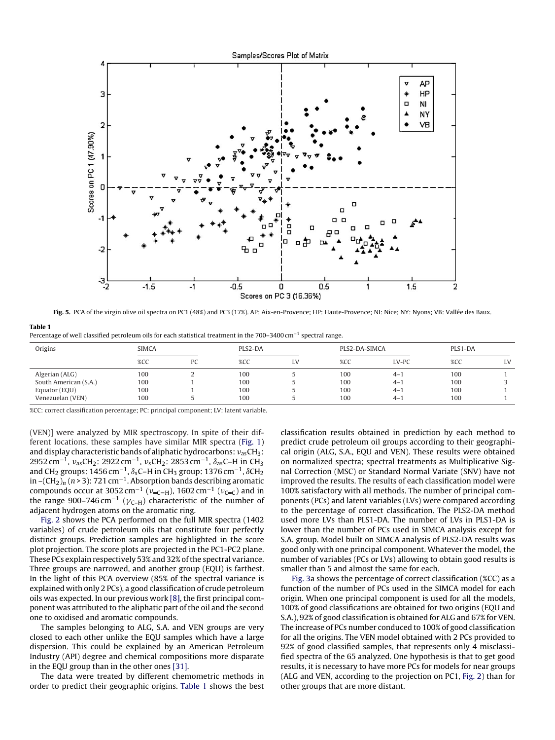

Fig. 5. PCA of the virgin olive oil spectra on PC1 (48%) and PC3 (17%). AP: Aix-en-Provence; HP: Haute-Provence; NI: Nice; NY: Nyons; VB: Vallée des Baux.

|  | Percentage of well classified petroleum oils for each statistical treatment in the $700-3400 \text{ cm}^{-1}$ spectral range. |
|--|-------------------------------------------------------------------------------------------------------------------------------|
|  |                                                                                                                               |
|  |                                                                                                                               |

| Origins               | <b>SIMCA</b> |    | PLS2-DA |    | PLS2-DA-SIMCA |         | PLS1-DA |    |
|-----------------------|--------------|----|---------|----|---------------|---------|---------|----|
|                       | %CC          | PC | %CC     | LV | %CC           | LV-PC   | %CC     | LV |
| Algerian (ALG)        | 100          |    | 100     |    | 100           | $4 - i$ | 100     |    |
| South American (S.A.) | 100          |    | 100     |    | 100           | $4 - 1$ | 100     |    |
| Equator (EQU)         | 100          |    | 100     |    | 100           | $4 - 1$ | 100     |    |
| Venezuelan (VEN)      | 100          |    | 100     |    | 100           | $4 - i$ | 100     |    |

%CC: correct classification percentage; PC: principal component; LV: latent variable.

**Table 1**

(VEN)] were analyzed by MIR spectroscopy. In spite of their different locations, these samples have similar MIR spectra (Fig. 1) and display characteristic bands of aliphatic hydrocarbons:  $v_{\rm as}$ CH $_3$ : 2952 cm $^{-1}$ ,  $v_{\sf as}$ CH<sub>2</sub>: 2922 cm $^{-1}$ ,  $v_{\sf s}$ CH<sub>2</sub>: 2853 cm $^{-1}$ ,  $\delta_{\sf as}$ C–H $\;$  in CH<sub>3</sub> and CH<sub>2</sub> groups: 1456 cm<sup>-1</sup>,  $\delta$ <sub>s</sub>C–H in CH<sub>3</sub> group: 1376 cm<sup>-1</sup>,  $\delta$ CH<sub>2</sub> in –(CH<sub>2</sub>)<sub>n</sub> (n > 3): 721 cm<sup>-1</sup>. Absorption bands describing aromatic compounds occur at 3052 cm<sup>-1</sup> ( $\nu = c-H$ ), 1602 cm<sup>-1</sup> ( $\nu_{C=C}$ ) and in the range 900–746 cm<sup>-1</sup> ( $\gamma$ <sub>C–H</sub>) characteristic of the number of adjacent hydrogen atoms on the aromatic ring.

Fig. 2 shows the PCA performed on the full MIR spectra (1402 variables) of crude petroleum oils that constitute four perfectly distinct groups. Prediction samples are highlighted in the score plot projection. The score plots are projected in the PC1-PC2 plane. These PCs explain respectively 53% and 32% of the spectral variance. Three groups are narrowed, and another group (EQU) is farthest. In the light of this PCA overview (85% of the spectral variance is explained with only 2 PCs), a good classification of crude petroleum oils was expected. In our previous work [8], the first principal component was attributed to the aliphatic part of the oil and the second one to oxidised and aromatic compounds.

The samples belonging to ALG, S.A. and VEN groups are very closed to each other unlike the EQU samples which have a large dispersion. This could be explained by an American Petroleum Industry (API) degree and chemical compositions more disparate in the EQU group than in the other ones [31].

The data were treated by different chemometric methods in order to predict their geographic origins. Table 1 shows the best

classification results obtained in prediction by each method to predict crude petroleum oil groups according to their geographical origin (ALG, S.A., EQU and VEN). These results were obtained on normalized spectra; spectral treatments as Multiplicative Signal Correction (MSC) or Standard Normal Variate (SNV) have not improved the results. The results of each classification model were 100% satisfactory with all methods. The number of principal components (PCs) and latent variables (LVs) were compared according to the percentage of correct classification. The PLS2-DA method used more LVs than PLS1-DA. The number of LVs in PLS1-DA is lower than the number of PCs used in SIMCA analysis except for S.A. group. Model built on SIMCA analysis of PLS2-DA results was good only with one principal component. Whatever the model, the number of variables (PCs or LVs) allowing to obtain good results is smaller than 5 and almost the same for each.

Fig. 3a shows the percentage of correct classification (%CC) as a function of the number of PCs used in the SIMCA model for each origin. When one principal component is used for all the models, 100% of good classifications are obtained for two origins (EQU and S.A.), 92% of good classification is obtained for ALG and 67% for VEN. The increase of PCs number conduced to 100% of good classification for all the origins. The VEN model obtained with 2 PCs provided to 92% of good classified samples, that represents only 4 misclassified spectra of the 65 analyzed. One hypothesis is that to get good results, it is necessary to have more PCs for models for near groups (ALG and VEN, according to the projection on PC1, Fig. 2) than for other groups that are more distant.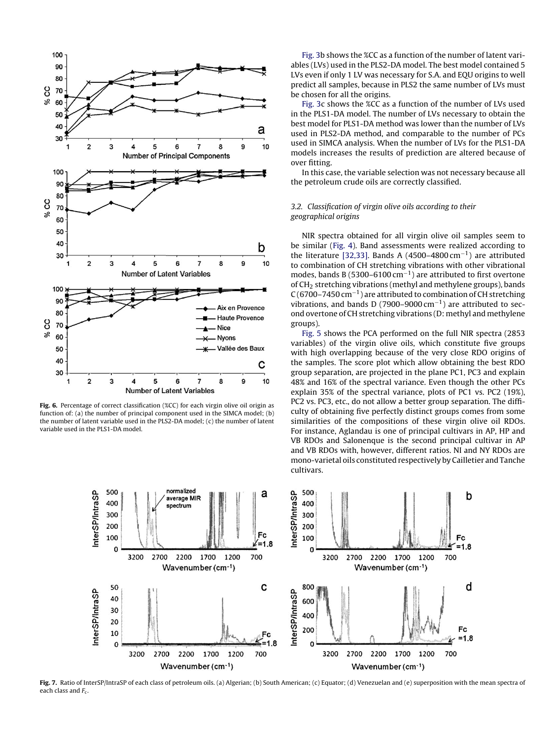

**Fig. 6.** Percentage of correct classification (%CC) for each virgin olive oil origin as function of: (a) the number of principal component used in the SIMCA model; (b) the number of latent variable used in the PLS2-DA model; (c) the number of latent variable used in the PLS1-DA model.

Fig. 3b shows the %CC as a function of the number of latent variables (LVs) used in the PLS2-DA model. The best model contained 5 LVs even if only 1 LV was necessary for S.A. and EQU origins to well predict all samples, because in PLS2 the same number of LVs must be chosen for all the origins.

Fig. 3c shows the %CC as a function of the number of LVs used in the PLS1-DA model. The number of LVs necessary to obtain the best model for PLS1-DA method was lower than the number of LVs used in PLS2-DA method, and comparable to the number of PCs used in SIMCA analysis. When the number of LVs for the PLS1-DA models increases the results of prediction are altered because of over fitting.

In this case, the variable selection was not necessary because all the petroleum crude oils are correctly classified.

#### 3.2. Classification of virgin olive oils according to their geographical origins

NIR spectra obtained for all virgin olive oil samples seem to be similar (Fig. 4). Band assessments were realized according to the literature [32,33]. Bands A (4500–4800 cm−1) are attributed to combination of CH stretching vibrations with other vibrational modes, bands B (5300–6100 cm−1) are attributed to first overtone of CH2 stretching vibrations (methyl and methylene groups), bands C (6700–7450 cm<sup>-1</sup>) are attributed to combination of CH stretching vibrations, and bands D (7900–9000 cm<sup>-1</sup>) are attributed to second overtone of CH stretching vibrations (D: methyl and methylene groups).

Fig. 5 shows the PCA performed on the full NIR spectra (2853 variables) of the virgin olive oils, which constitute five groups with high overlapping because of the very close RDO origins of the samples. The score plot which allow obtaining the best RDO group separation, are projected in the plane PC1, PC3 and explain 48% and 16% of the spectral variance. Even though the other PCs explain 35% of the spectral variance, plots of PC1 vs. PC2 (19%), PC2 vs. PC3, etc., do not allow a better group separation. The difficulty of obtaining five perfectly distinct groups comes from some similarities of the compositions of these virgin olive oil RDOs. For instance, Aglandau is one of principal cultivars in AP, HP and VB RDOs and Salonenque is the second principal cultivar in AP and VB RDOs with, however, different ratios. NI and NY RDOs are mono-varietal oils constituted respectively by Cailletier and Tanche cultivars.



Fig. 7. Ratio of InterSP/IntraSP of each class of petroleum oils. (a) Algerian; (b) South American; (c) Equator; (d) Venezuelan and (e) superposition with the mean spectra of each class and  $F_c$ .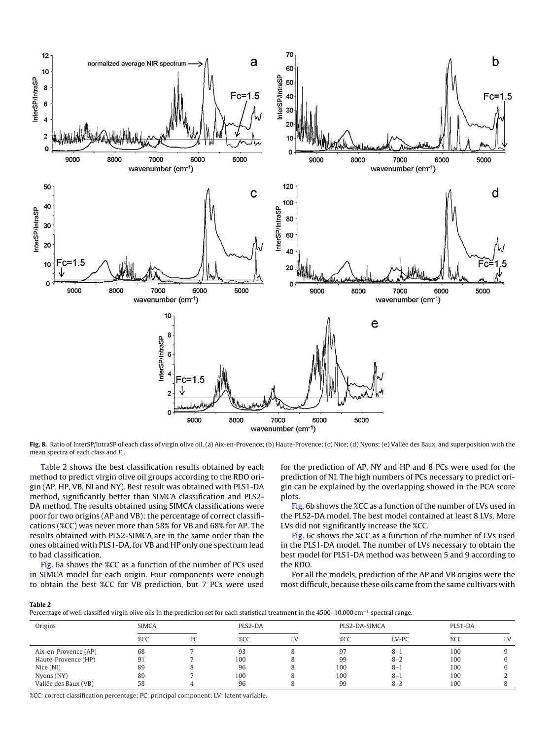

**Fig. 8.** Ratio of InterSP/IntraSP of each class of virgin olive oil. (a) Aix-en-Provence; (b) Haute-Provence; (c) Nice; (d) Nyons; (e) Vallée des Baux, and superposition with the mean spectra of each class and  $F_c$ .

Table 2 shows the best classification results obtained by each method to predict virgin olive oil groups according to the RDO origin (AP, HP, VB, NI and NY). Best result was obtained with PLS1-DA method, significantly better than SIMCA classification and PLS2- DA method. The results obtained using SIMCA classifications were poor for two origins (AP and VB); the percentage of correct classifications (%CC) was never more than 58% for VB and 68% for AP. The results obtained with PLS2-SIMCA are in the same order than the ones obtained with PLS1-DA, for VB and HP only one spectrum lead to bad classification.

Fig. 6a shows the %CC as a function of the number of PCs used in SIMCA model for each origin. Four components were enough to obtain the best %CC for VB prediction, but 7 PCs were used

for the prediction of AP, NY and HP and 8 PCs were used for the prediction of NI. The high numbers of PCs necessary to predict origin can be explained by the overlapping showed in the PCA score plots.

Fig. 6b shows the %CC as a function of the number of LVs used in the PLS2-DA model. The best model contained at least 8 LVs. More LVs did not significantly increase the %CC.

Fig. 6c shows the %CC as a function of the number of LVs used in the PLS1-DA model. The number of LVs necessary to obtain the best model for PLS1-DA method was between 5 and 9 according to the RDO.

For all the models, prediction of the AP and VB origins were the most difficult, because these oils came from the same cultivars with

#### **Table 2**

Percentage of well classified virgin olive oils in the prediction set for each statistical treatment in the 4500–10,000 cm−<sup>1</sup> spectral range.

| Origins              | <b>SIMCA</b> |    | PLS2-DA |    | PLS2-DA-SIMCA |         | PLS1-DA |    |
|----------------------|--------------|----|---------|----|---------------|---------|---------|----|
|                      | %CC          | PC | %CC     | LV | %CC           | LV-PC   | %CC     | LV |
| Aix-en-Provence (AP) | 68           |    | 93      |    | 97            | $8 - 1$ | 100     |    |
| Haute-Provence (HP)  | 91           |    | 100     |    | 99            | $8 - 2$ | 100     | b  |
| Nice (NI)            | 89           |    | 96      |    | 100           | $8 - 1$ | 100     | b  |
| Nyons (NY)           | 89           |    | 100     | ō  | 100           | $8 - 1$ | 100     |    |
| Vallée des Baux (VB) | 58           |    | 96      |    | 99            | $8 - 3$ | 100     |    |

%CC: correct classification percentage; PC: principal component; LV: latent variable.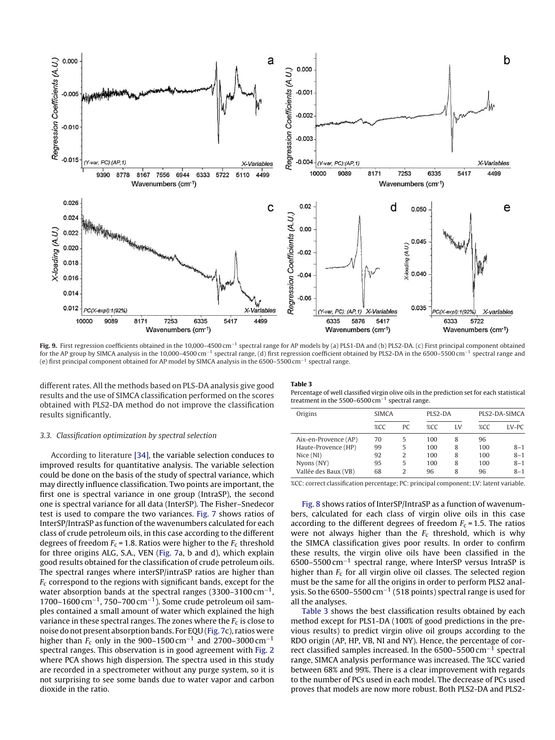

**Fig. 9.** First regression coefficients obtained in the 10,000–4500 cm−<sup>1</sup> spectral range for AP models by (a) PLS1-DA and (b) PLS2-DA. (c) First principal component obtained for the AP group by SIMCA analysis in the 10,000–4500 cm−<sup>1</sup> spectral range, (d) first regression coefficient obtained by PLS2-DA in the 6500–5500 cm−<sup>1</sup> spectral range and (e) first principal component obtained for AP model by SIMCA analysis in the 6500–5500 cm−<sup>1</sup> spectral range.

different rates. All the methods based on PLS-DA analysis give good results and the use of SIMCA classification performed on the scores obtained with PLS2-DA method do not improve the classification results significantly.

#### 3.3. Classification optimization by spectral selection

According to literature [34], the variable selection conduces to improved results for quantitative analysis. The variable selection could be done on the basis of the study of spectral variance, which may directly influence classification. Two points are important, the first one is spectral variance in one group (IntraSP), the second one is spectral variance for all data (InterSP). The Fisher–Snedecor test is used to compare the two variances. Fig. 7 shows ratios of InterSP/IntraSP as function of the wavenumbers calculated for each class of crude petroleum oils, in this case according to the different degrees of freedom  $F_c$  = 1.8. Ratios were higher to the  $F_c$  threshold for three origins ALG, S.A., VEN (Fig. 7a, b and d), which explain good results obtained for the classification of crude petroleum oils. The spectral ranges where interSP/intraSP ratios are higher than  $F_c$  correspond to the regions with significant bands, except for the water absorption bands at the spectral ranges (3300–3100 cm<sup>-1</sup>, 1700–1600 cm<sup>-1</sup>, 750–700 cm<sup>-1</sup>). Some crude petroleum oil samples contained a small amount of water which explained the high variance in these spectral ranges. The zones where the  $F_c$  is close to noise do not present absorption bands. For EQU (Fig. 7c), ratios were higher than  $F_c$  only in the 900–1500 cm<sup>-1</sup> and 2700–3000 cm<sup>-1</sup> spectral ranges. This observation is in good agreement with Fig. 2 where PCA shows high dispersion. The spectra used in this study are recorded in a spectrometer without any purge system, so it is not surprising to see some bands due to water vapor and carbon dioxide in the ratio.

#### **Table 3**

Percentage of well classified virgin olive oils in the prediction set for each statistical treatment in the 5500–6500 cm<sup>-1</sup> spectral range.

| Origins              | <b>SIMCA</b> |           |     | PLS2-DA |     | PLS2-DA-SIMCA |  |
|----------------------|--------------|-----------|-----|---------|-----|---------------|--|
|                      | %CC          | <b>PC</b> | %CC | LV      | %CC | LV-PC         |  |
| Aix-en-Provence (AP) | 70           | 5         | 100 | 8       | 96  |               |  |
| Haute-Provence (HP)  | 99           | 5         | 100 | 8       | 100 | $8 - 1$       |  |
| Nice (NI)            | 92           | 2         | 100 | 8       | 100 | $8 - 1$       |  |
| Nyons (NY)           | 95           | 5         | 100 | 8       | 100 | $8 - 1$       |  |
| Vallée des Baux (VB) | 68           | 2         | 96  | 8       | 96  | $8 - 1$       |  |
|                      |              |           |     |         |     |               |  |

%CC: correct classification percentage; PC: principal component; LV: latent variable.

Fig. 8 shows ratios of InterSP/IntraSP as a function of wavenumbers, calculated for each class of virgin olive oils in this case according to the different degrees of freedom  $F_c = 1.5$ . The ratios were not always higher than the  $F_c$  threshold, which is why the SIMCA classification gives poor results. In order to confirm these results, the virgin olive oils have been classified in the 6500–5500 cm−<sup>1</sup> spectral range, where InterSP versus IntraSP is higher than  $F_c$  for all virgin olive oil classes. The selected region must be the same for all the origins in order to perform PLS2 analysis. So the 6500–5500 cm<sup>-1</sup> (518 points) spectral range is used for all the analyses.

Table 3 shows the best classification results obtained by each method except for PLS1-DA (100% of good predictions in the previous results) to predict virgin olive oil groups according to the RDO origin (AP, HP, VB, NI and NY). Hence, the percentage of correct classified samples increased. In the 6500–5500 cm−<sup>1</sup> spectral range, SIMCA analysis performance was increased. The %CC varied between 68% and 99%. There is a clear improvement with regards to the number of PCs used in each model. The decrease of PCs used proves that models are now more robust. Both PLS2-DA and PLS2